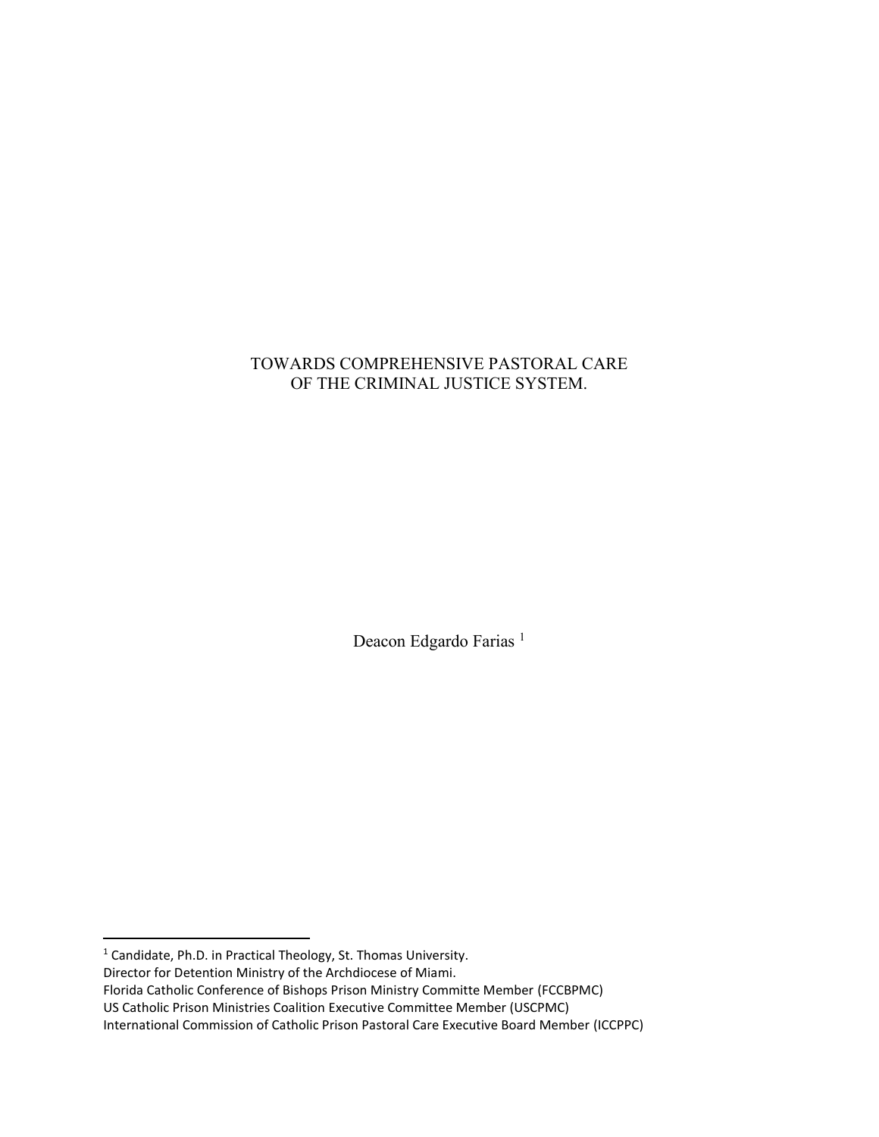# TOWARDS COMPREHENSIVE PASTORAL CARE OF THE CRIMINAL JUSTICE SYSTEM.

Deacon Edgardo Farias<sup>1</sup>

<sup>1</sup> Candidate, Ph.D. in Practical Theology, St. Thomas University.

Director for Detention Ministry of the Archdiocese of Miami.

Florida Catholic Conference of Bishops Prison Ministry Committe Member (FCCBPMC)

US Catholic Prison Ministries Coalition Executive Committee Member (USCPMC)

International Commission of Catholic Prison Pastoral Care Executive Board Member (ICCPPC)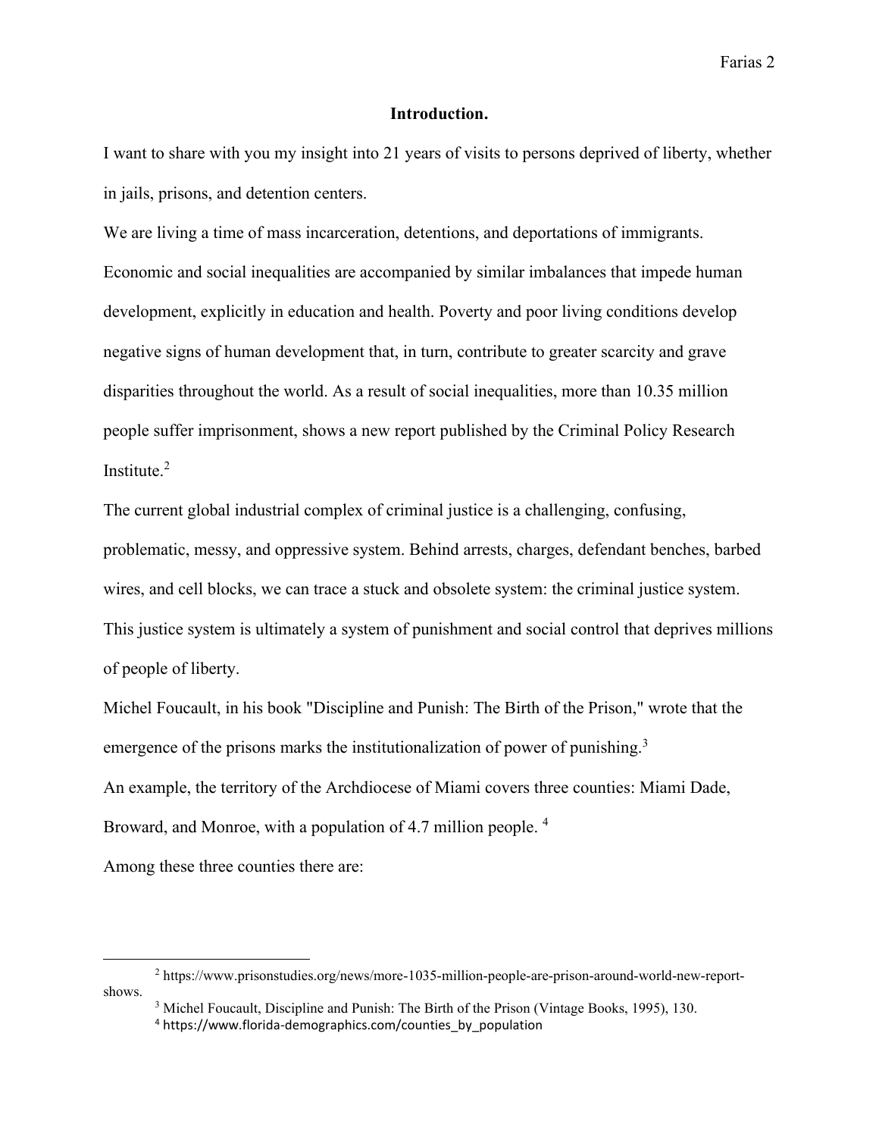### **Introduction.**

I want to share with you my insight into 21 years of visits to persons deprived of liberty, whether in jails, prisons, and detention centers.

We are living a time of mass incarceration, detentions, and deportations of immigrants. Economic and social inequalities are accompanied by similar imbalances that impede human development, explicitly in education and health. Poverty and poor living conditions develop negative signs of human development that, in turn, contribute to greater scarcity and grave disparities throughout the world. As a result of social inequalities, more than 10.35 million people suffer imprisonment, shows a new report published by the Criminal Policy Research Institute. 2

The current global industrial complex of criminal justice is a challenging, confusing, problematic, messy, and oppressive system. Behind arrests, charges, defendant benches, barbed wires, and cell blocks, we can trace a stuck and obsolete system: the criminal justice system. This justice system is ultimately a system of punishment and social control that deprives millions of people of liberty.

Michel Foucault, in his book "Discipline and Punish: The Birth of the Prison," wrote that the emergence of the prisons marks the institutionalization of power of punishing.<sup>3</sup> An example, the territory of the Archdiocese of Miami covers three counties: Miami Dade, Broward, and Monroe, with a population of 4.7 million people.<sup>4</sup>

Among these three counties there are:

<sup>2</sup> https://www.prisonstudies.org/news/more-1035-million-people-are-prison-around-world-new-reportshows.

<sup>&</sup>lt;sup>3</sup> Michel Foucault, Discipline and Punish: The Birth of the Prison (Vintage Books, 1995), 130.

<sup>&</sup>lt;sup>4</sup> https://www.florida-demographics.com/counties\_by\_population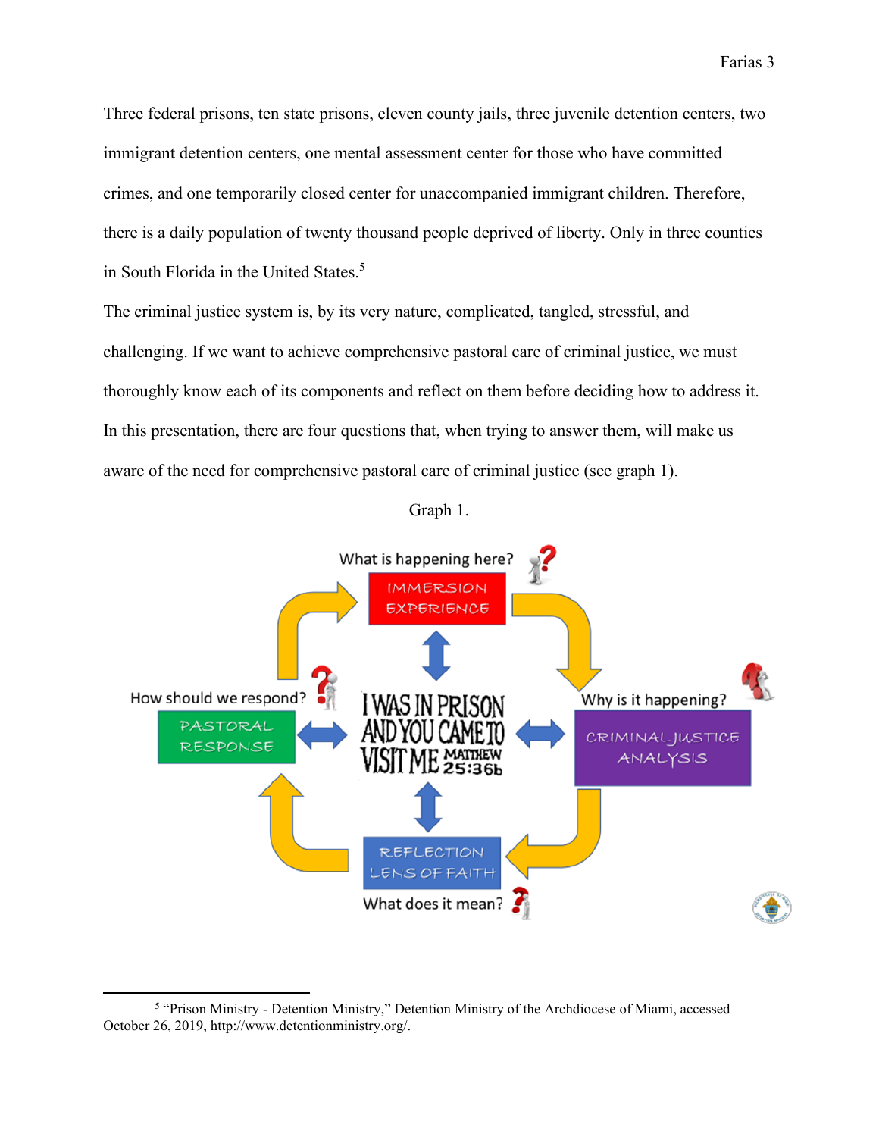Three federal prisons, ten state prisons, eleven county jails, three juvenile detention centers, two immigrant detention centers, one mental assessment center for those who have committed crimes, and one temporarily closed center for unaccompanied immigrant children. Therefore, there is a daily population of twenty thousand people deprived of liberty. Only in three counties in South Florida in the United States.<sup>5</sup>

The criminal justice system is, by its very nature, complicated, tangled, stressful, and challenging. If we want to achieve comprehensive pastoral care of criminal justice, we must thoroughly know each of its components and reflect on them before deciding how to address it. In this presentation, there are four questions that, when trying to answer them, will make us aware of the need for comprehensive pastoral care of criminal justice (see graph 1).

Graph 1.



<sup>&</sup>lt;sup>5</sup> "Prison Ministry - Detention Ministry," Detention Ministry of the Archdiocese of Miami, accessed October 26, 2019, http://www.detentionministry.org/.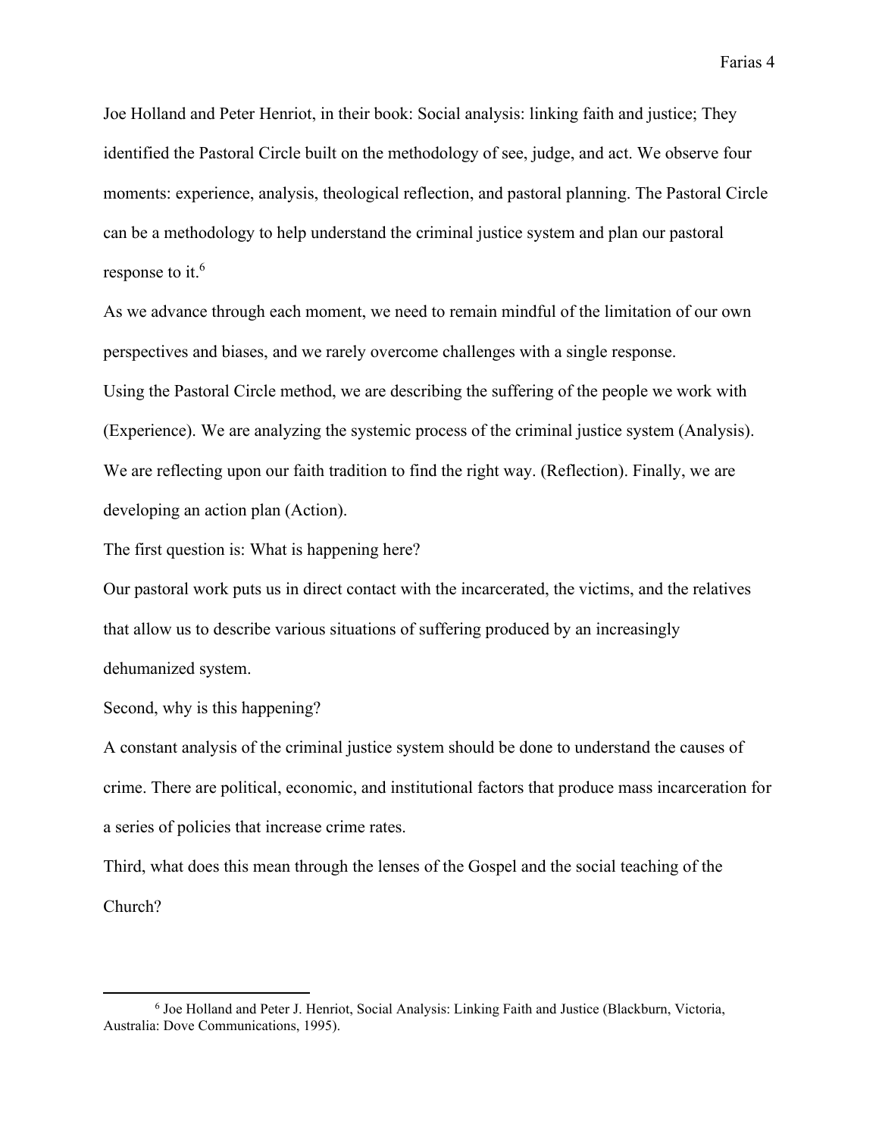Joe Holland and Peter Henriot, in their book: Social analysis: linking faith and justice; They identified the Pastoral Circle built on the methodology of see, judge, and act. We observe four moments: experience, analysis, theological reflection, and pastoral planning. The Pastoral Circle can be a methodology to help understand the criminal justice system and plan our pastoral response to it. 6

As we advance through each moment, we need to remain mindful of the limitation of our own perspectives and biases, and we rarely overcome challenges with a single response. Using the Pastoral Circle method, we are describing the suffering of the people we work with (Experience). We are analyzing the systemic process of the criminal justice system (Analysis). We are reflecting upon our faith tradition to find the right way. (Reflection). Finally, we are developing an action plan (Action).

The first question is: What is happening here?

Our pastoral work puts us in direct contact with the incarcerated, the victims, and the relatives that allow us to describe various situations of suffering produced by an increasingly dehumanized system.

Second, why is this happening?

A constant analysis of the criminal justice system should be done to understand the causes of crime. There are political, economic, and institutional factors that produce mass incarceration for a series of policies that increase crime rates.

Third, what does this mean through the lenses of the Gospel and the social teaching of the Church?

<sup>6</sup> Joe Holland and Peter J. Henriot, Social Analysis: Linking Faith and Justice (Blackburn, Victoria, Australia: Dove Communications, 1995).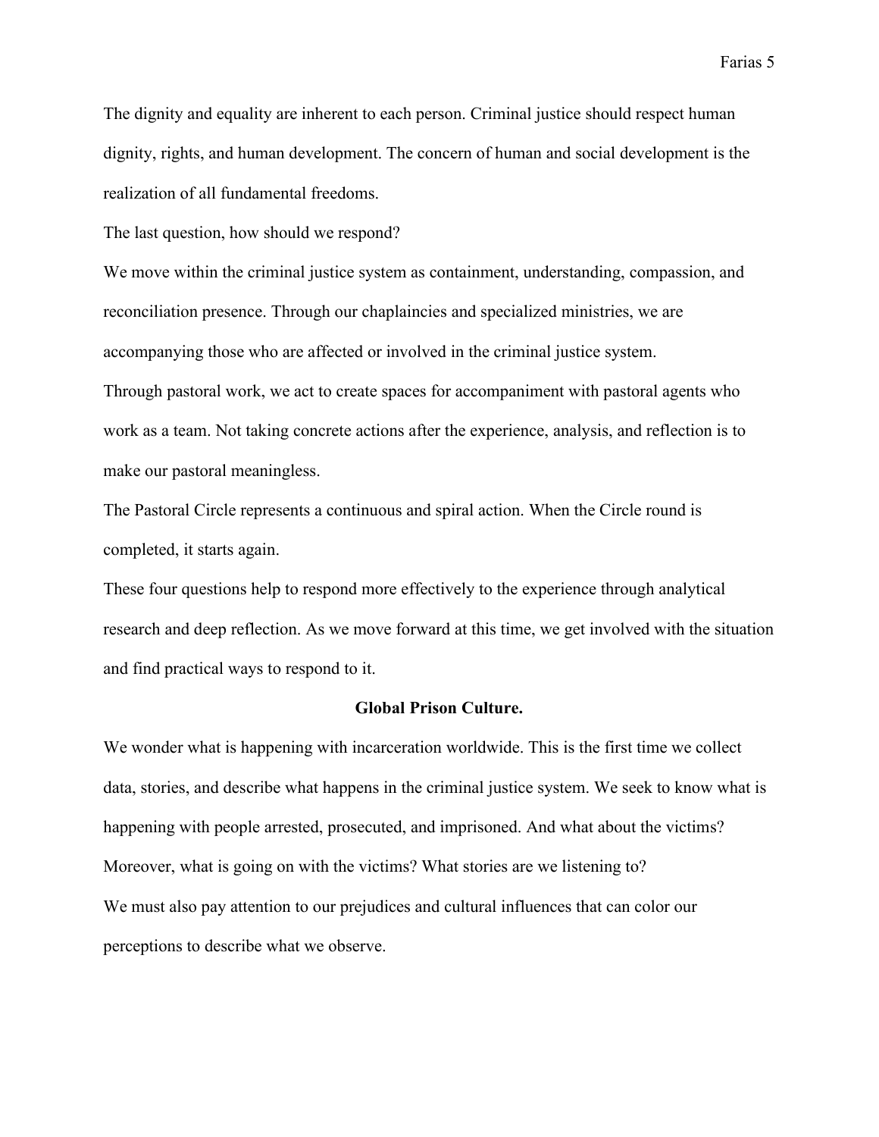The dignity and equality are inherent to each person. Criminal justice should respect human dignity, rights, and human development. The concern of human and social development is the realization of all fundamental freedoms.

The last question, how should we respond?

We move within the criminal justice system as containment, understanding, compassion, and reconciliation presence. Through our chaplaincies and specialized ministries, we are accompanying those who are affected or involved in the criminal justice system.

Through pastoral work, we act to create spaces for accompaniment with pastoral agents who work as a team. Not taking concrete actions after the experience, analysis, and reflection is to make our pastoral meaningless.

The Pastoral Circle represents a continuous and spiral action. When the Circle round is completed, it starts again.

These four questions help to respond more effectively to the experience through analytical research and deep reflection. As we move forward at this time, we get involved with the situation and find practical ways to respond to it.

## **Global Prison Culture.**

We wonder what is happening with incarceration worldwide. This is the first time we collect data, stories, and describe what happens in the criminal justice system. We seek to know what is happening with people arrested, prosecuted, and imprisoned. And what about the victims? Moreover, what is going on with the victims? What stories are we listening to? We must also pay attention to our prejudices and cultural influences that can color our perceptions to describe what we observe.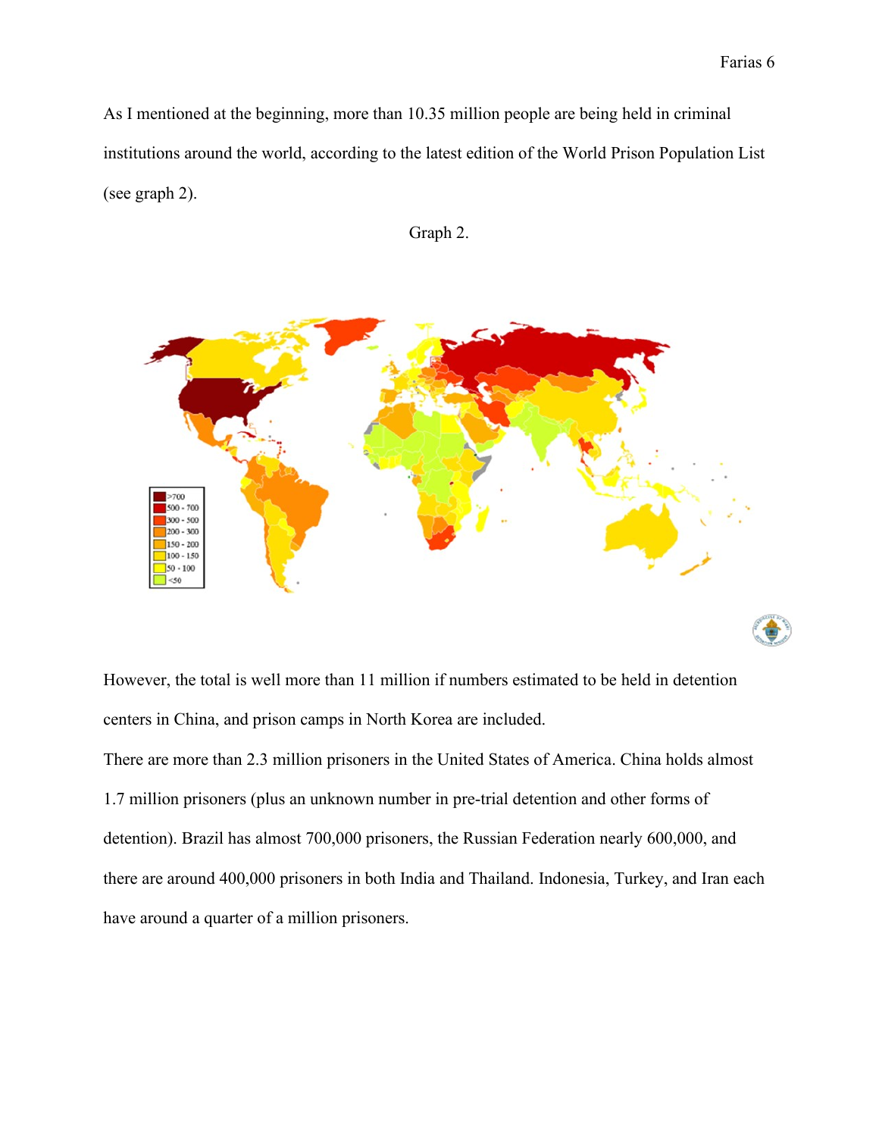As I mentioned at the beginning, more than 10.35 million people are being held in criminal institutions around the world, according to the latest edition of the World Prison Population List (see graph 2).





However, the total is well more than 11 million if numbers estimated to be held in detention centers in China, and prison camps in North Korea are included.

There are more than 2.3 million prisoners in the United States of America. China holds almost 1.7 million prisoners (plus an unknown number in pre-trial detention and other forms of detention). Brazil has almost 700,000 prisoners, the Russian Federation nearly 600,000, and there are around 400,000 prisoners in both India and Thailand. Indonesia, Turkey, and Iran each have around a quarter of a million prisoners.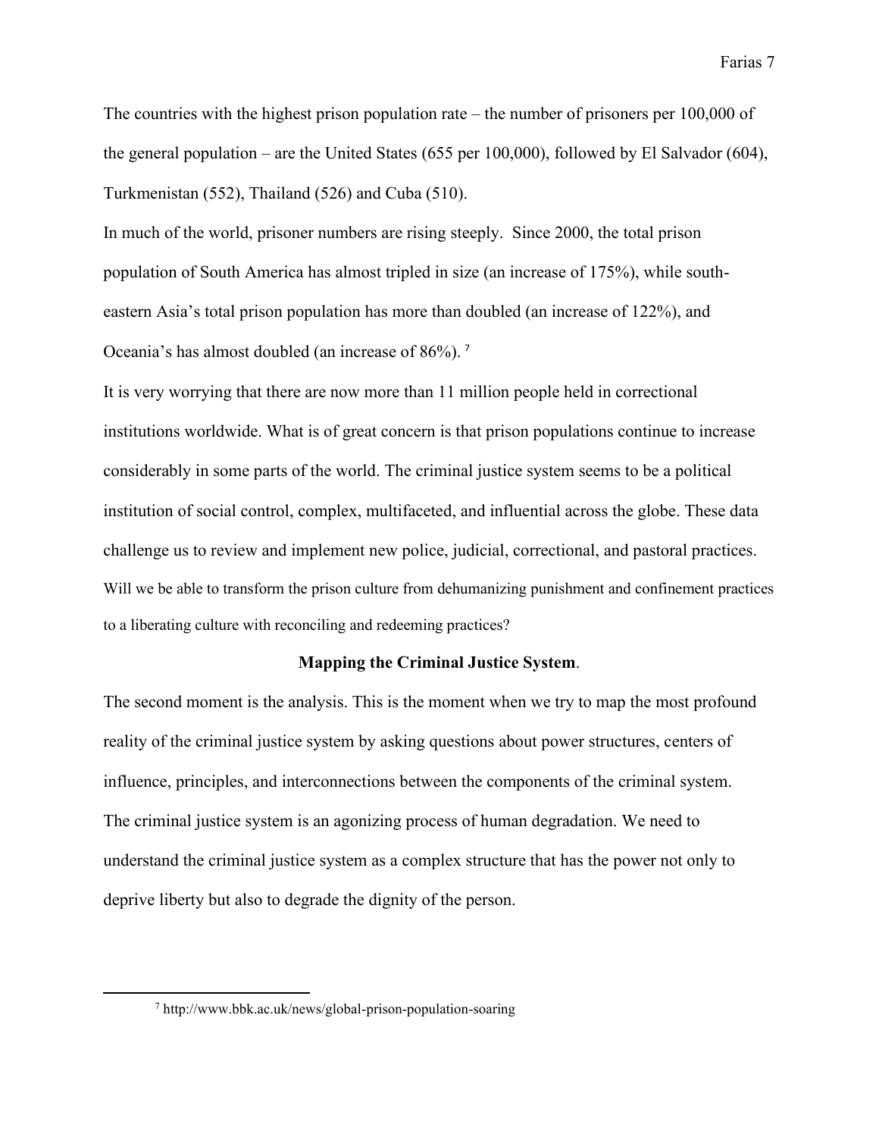The countries with the highest prison population rate – the number of prisoners per 100,000 of the general population – are the United States (655 per 100,000), followed by El Salvador (604), Turkmenistan (552), Thailand (526) and Cuba (510).

In much of the world, prisoner numbers are rising steeply. Since 2000, the total prison population of South America has almost tripled in size (an increase of 175%), while southeastern Asia's total prison population has more than doubled (an increase of 122%), and Oceania's has almost doubled (an increase of 86%). <sup>7</sup>

It is very worrying that there are now more than 11 million people held in correctional institutions worldwide. What is of great concern is that prison populations continue to increase considerably in some parts of the world. The criminal justice system seems to be a political institution of social control, complex, multifaceted, and influential across the globe. These data challenge us to review and implement new police, judicial, correctional, and pastoral practices. Will we be able to transform the prison culture from dehumanizing punishment and confinement practices to a liberating culture with reconciling and redeeming practices?

## **Mapping the Criminal Justice System**.

The second moment is the analysis. This is the moment when we try to map the most profound reality of the criminal justice system by asking questions about power structures, centers of influence, principles, and interconnections between the components of the criminal system. The criminal justice system is an agonizing process of human degradation. We need to understand the criminal justice system as a complex structure that has the power not only to deprive liberty but also to degrade the dignity of the person.

<sup>7</sup> http://www.bbk.ac.uk/news/global-prison-population-soaring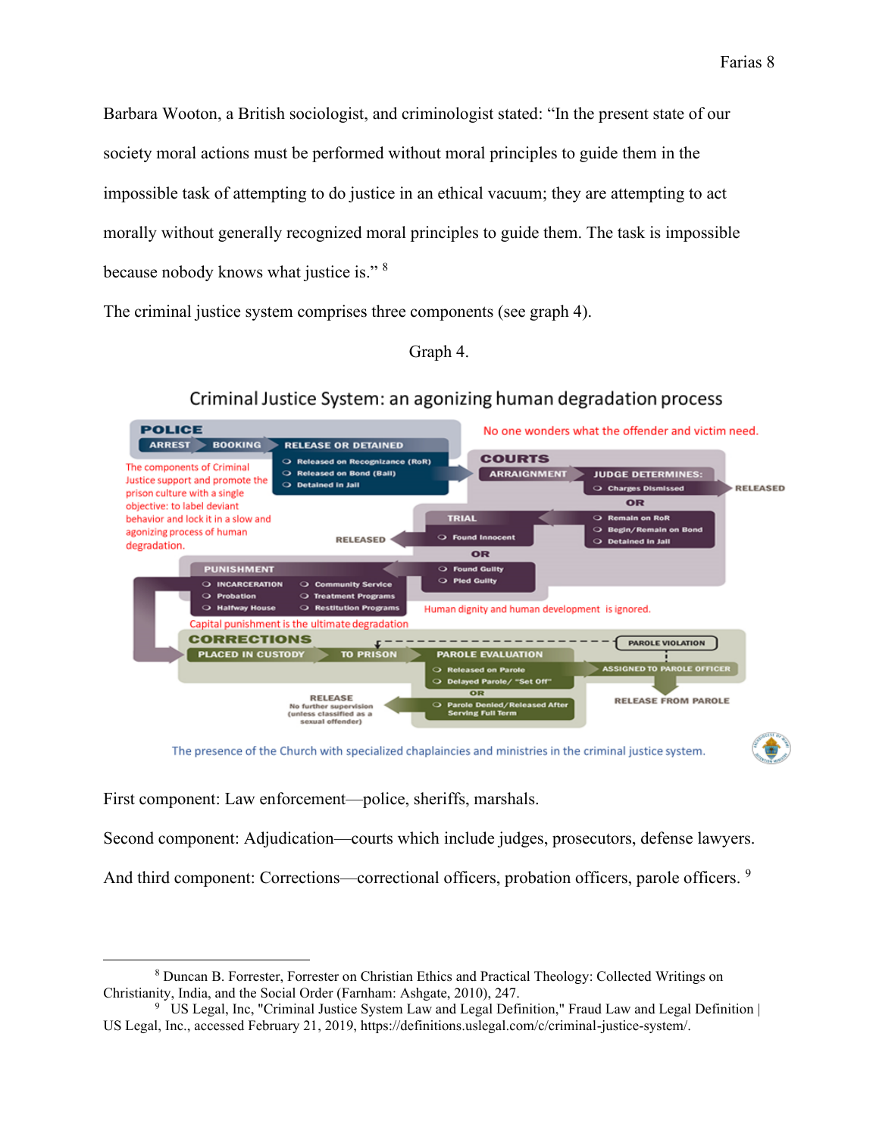Barbara Wooton, a British sociologist, and criminologist stated: "In the present state of our society moral actions must be performed without moral principles to guide them in the impossible task of attempting to do justice in an ethical vacuum; they are attempting to act morally without generally recognized moral principles to guide them. The task is impossible because nobody knows what justice is." <sup>8</sup>

The criminal justice system comprises three components (see graph 4).

Graph 4.



## Criminal Justice System: an agonizing human degradation process

The presence of the Church with specialized chaplaincies and ministries in the criminal justice system.



First component: Law enforcement—police, sheriffs, marshals.

Second component: Adjudication—courts which include judges, prosecutors, defense lawyers.

And third component: Corrections—correctional officers, probation officers, parole officers. <sup>9</sup>

<sup>8</sup> Duncan B. Forrester, Forrester on Christian Ethics and Practical Theology: Collected Writings on Christianity, India, and the Social Order (Farnham: Ashgate, 2010), 247.

<sup>9</sup> US Legal, Inc, "Criminal Justice System Law and Legal Definition," Fraud Law and Legal Definition | US Legal, Inc., accessed February 21, 2019, https://definitions.uslegal.com/c/criminal-justice-system/.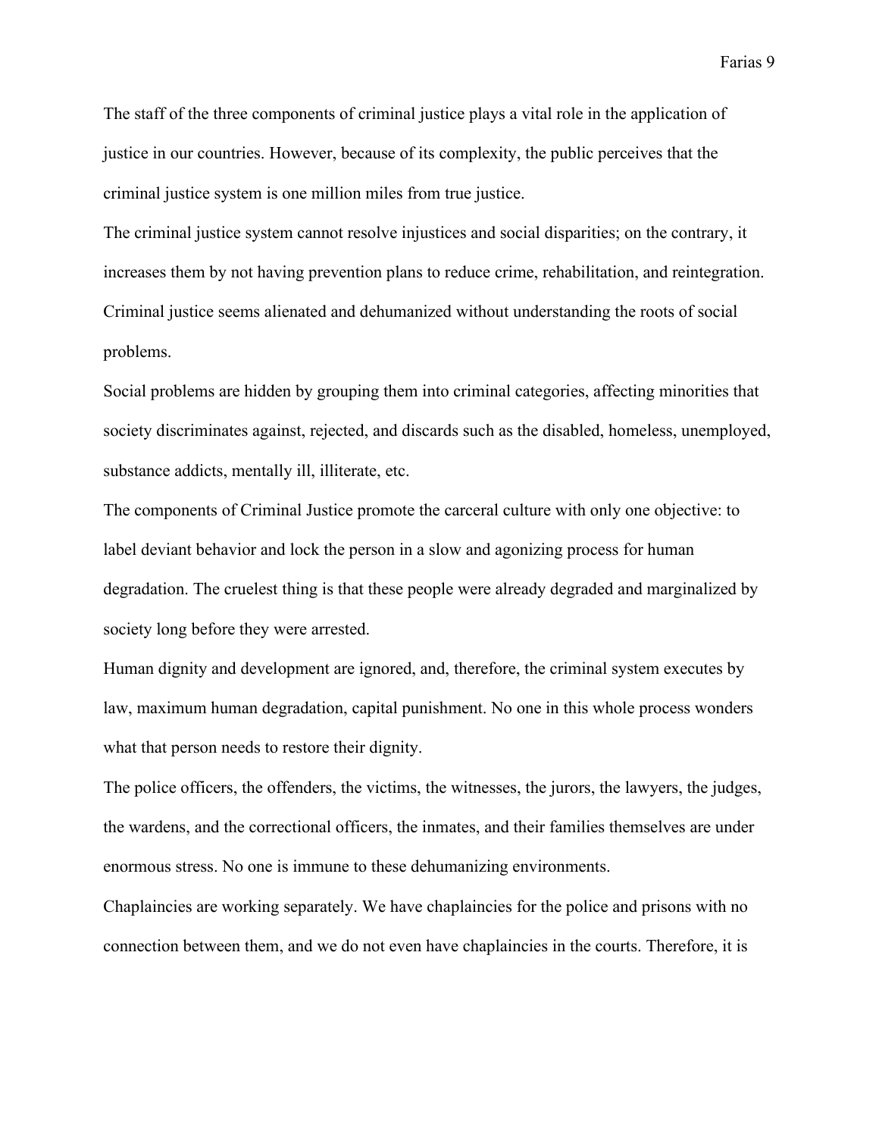The staff of the three components of criminal justice plays a vital role in the application of justice in our countries. However, because of its complexity, the public perceives that the criminal justice system is one million miles from true justice.

The criminal justice system cannot resolve injustices and social disparities; on the contrary, it increases them by not having prevention plans to reduce crime, rehabilitation, and reintegration. Criminal justice seems alienated and dehumanized without understanding the roots of social problems.

Social problems are hidden by grouping them into criminal categories, affecting minorities that society discriminates against, rejected, and discards such as the disabled, homeless, unemployed, substance addicts, mentally ill, illiterate, etc.

The components of Criminal Justice promote the carceral culture with only one objective: to label deviant behavior and lock the person in a slow and agonizing process for human degradation. The cruelest thing is that these people were already degraded and marginalized by society long before they were arrested.

Human dignity and development are ignored, and, therefore, the criminal system executes by law, maximum human degradation, capital punishment. No one in this whole process wonders what that person needs to restore their dignity.

The police officers, the offenders, the victims, the witnesses, the jurors, the lawyers, the judges, the wardens, and the correctional officers, the inmates, and their families themselves are under enormous stress. No one is immune to these dehumanizing environments.

Chaplaincies are working separately. We have chaplaincies for the police and prisons with no connection between them, and we do not even have chaplaincies in the courts. Therefore, it is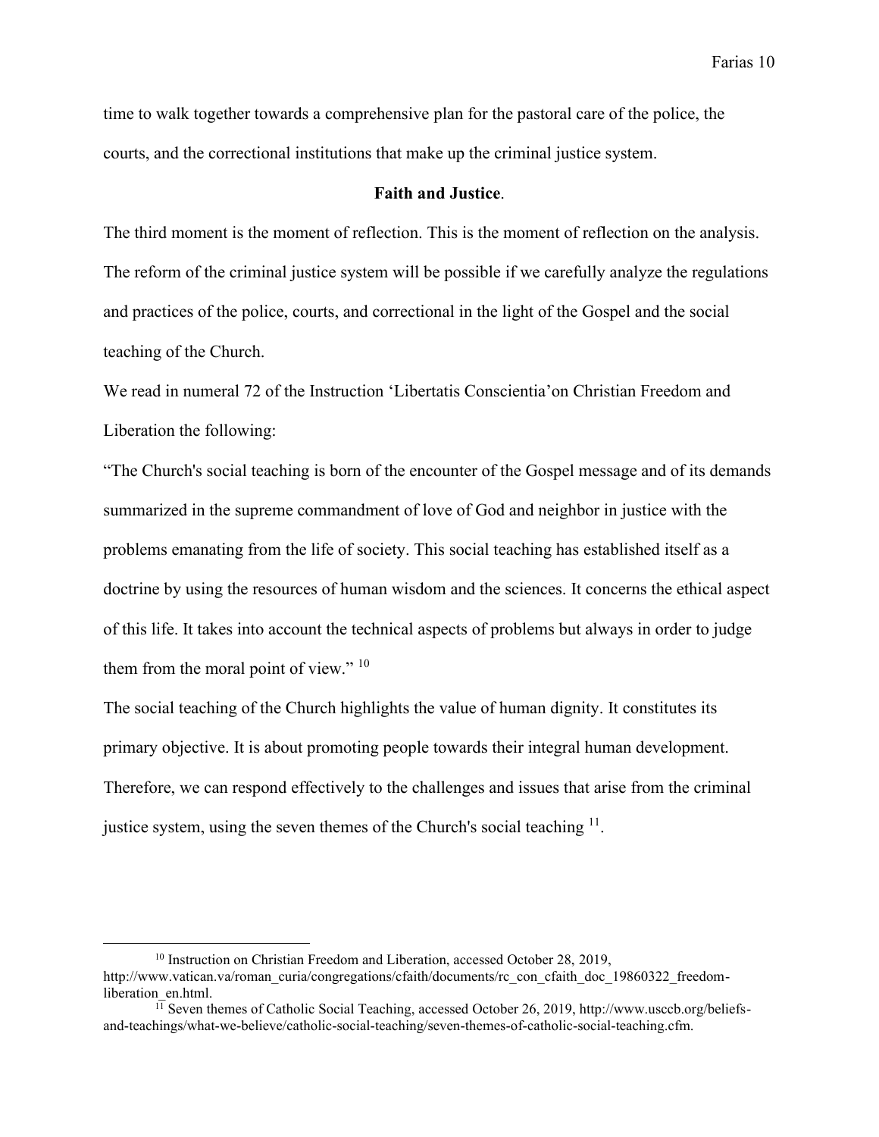time to walk together towards a comprehensive plan for the pastoral care of the police, the courts, and the correctional institutions that make up the criminal justice system.

### **Faith and Justice**.

The third moment is the moment of reflection. This is the moment of reflection on the analysis. The reform of the criminal justice system will be possible if we carefully analyze the regulations and practices of the police, courts, and correctional in the light of the Gospel and the social teaching of the Church.

We read in numeral 72 of the Instruction 'Libertatis Conscientia'on Christian Freedom and Liberation the following:

"The Church's social teaching is born of the encounter of the Gospel message and of its demands summarized in the supreme commandment of love of God and neighbor in justice with the problems emanating from the life of society. This social teaching has established itself as a doctrine by using the resources of human wisdom and the sciences. It concerns the ethical aspect of this life. It takes into account the technical aspects of problems but always in order to judge them from the moral point of view." <sup>10</sup>

The social teaching of the Church highlights the value of human dignity. It constitutes its primary objective. It is about promoting people towards their integral human development. Therefore, we can respond effectively to the challenges and issues that arise from the criminal justice system, using the seven themes of the Church's social teaching  $11$ .

<sup>&</sup>lt;sup>10</sup> Instruction on Christian Freedom and Liberation, accessed October 28, 2019, http://www.vatican.va/roman\_curia/congregations/cfaith/documents/rc\_con\_cfaith\_doc\_19860322\_freedomliberation\_en.html.

 $1\overline{11}$  Seven themes of Catholic Social Teaching, accessed October 26, 2019, http://www.usccb.org/beliefsand-teachings/what-we-believe/catholic-social-teaching/seven-themes-of-catholic-social-teaching.cfm.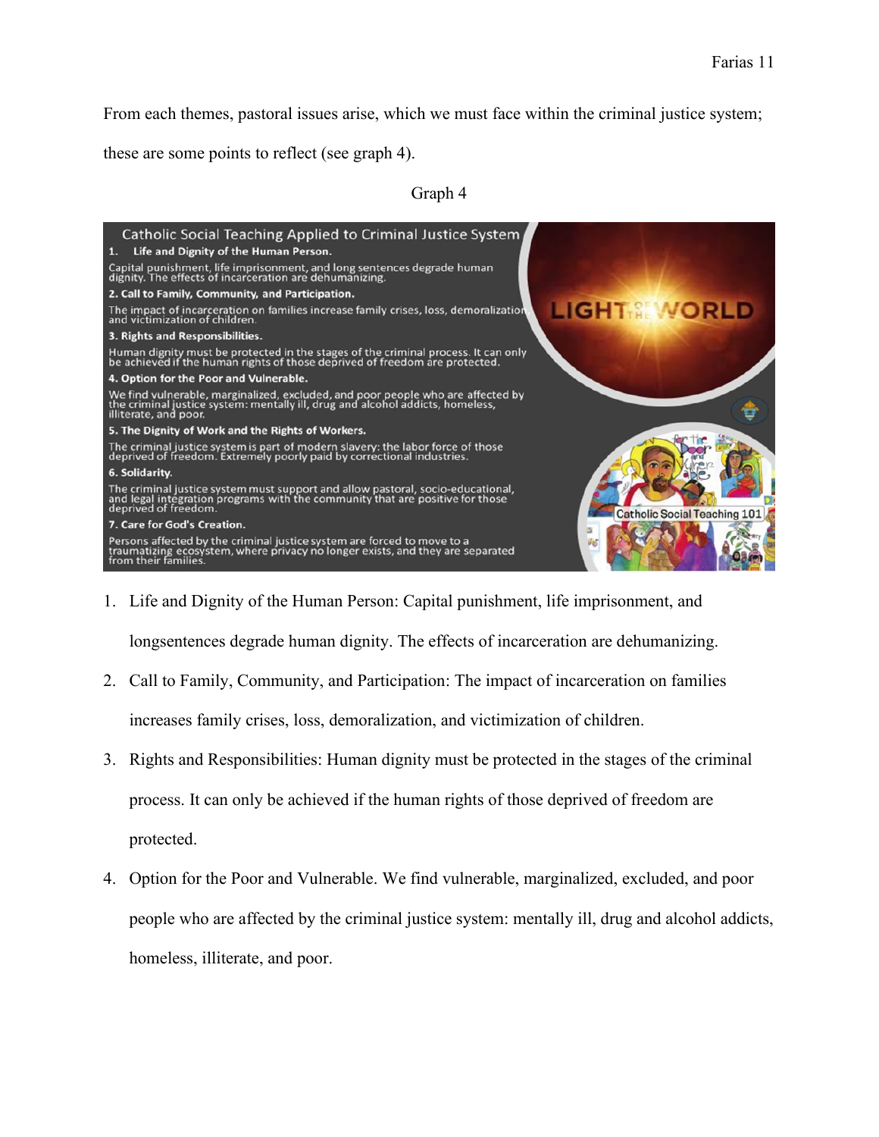From each themes, pastoral issues arise, which we must face within the criminal justice system;

these are some points to reflect (see graph 4).

## Graph 4



1. Life and Dignity of the Human Person: Capital punishment, life imprisonment, and

longsentences degrade human dignity. The effects of incarceration are dehumanizing.

- 2. Call to Family, Community, and Participation: The impact of incarceration on families increases family crises, loss, demoralization, and victimization of children.
- 3. Rights and Responsibilities: Human dignity must be protected in the stages of the criminal process. It can only be achieved if the human rights of those deprived of freedom are protected.
- 4. Option for the Poor and Vulnerable. We find vulnerable, marginalized, excluded, and poor people who are affected by the criminal justice system: mentally ill, drug and alcohol addicts, homeless, illiterate, and poor.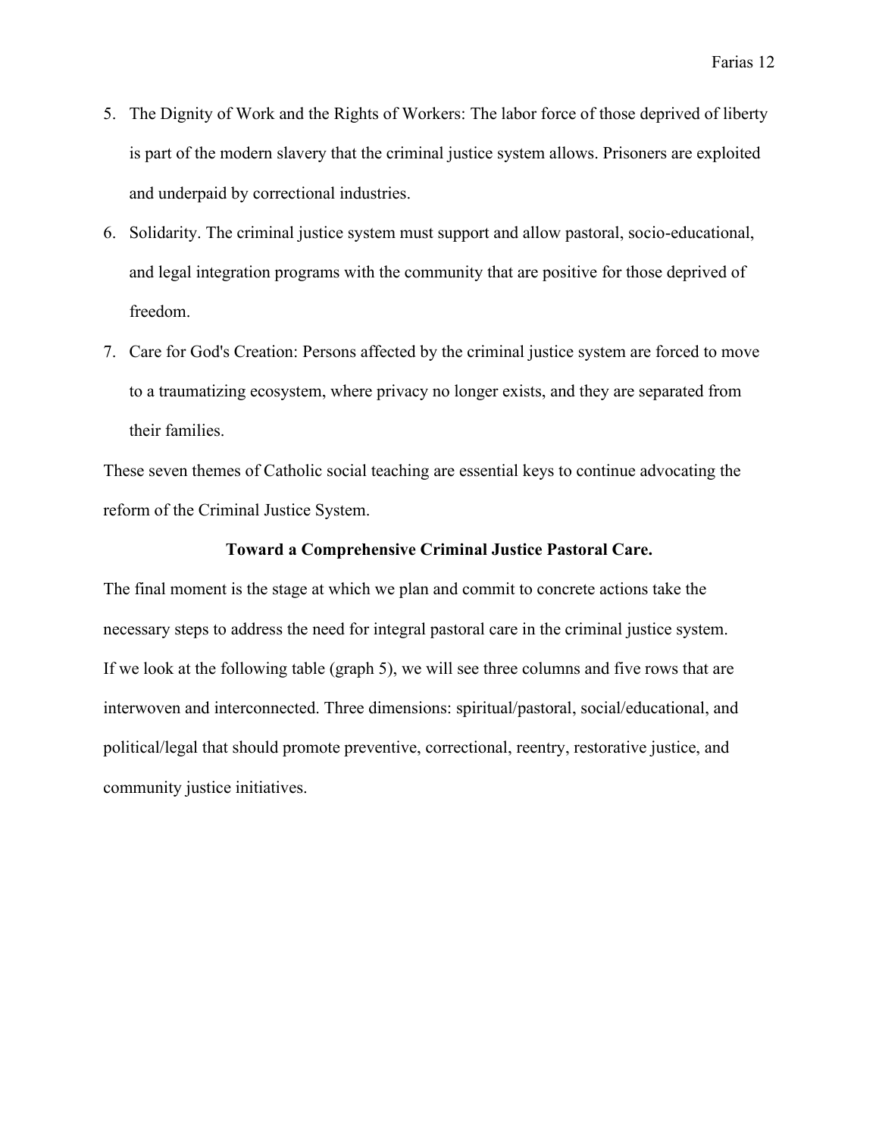- 5. The Dignity of Work and the Rights of Workers: The labor force of those deprived of liberty is part of the modern slavery that the criminal justice system allows. Prisoners are exploited and underpaid by correctional industries.
- 6. Solidarity. The criminal justice system must support and allow pastoral, socio-educational, and legal integration programs with the community that are positive for those deprived of freedom.
- 7. Care for God's Creation: Persons affected by the criminal justice system are forced to move to a traumatizing ecosystem, where privacy no longer exists, and they are separated from their families.

These seven themes of Catholic social teaching are essential keys to continue advocating the reform of the Criminal Justice System.

### **Toward a Comprehensive Criminal Justice Pastoral Care.**

The final moment is the stage at which we plan and commit to concrete actions take the necessary steps to address the need for integral pastoral care in the criminal justice system. If we look at the following table (graph 5), we will see three columns and five rows that are interwoven and interconnected. Three dimensions: spiritual/pastoral, social/educational, and political/legal that should promote preventive, correctional, reentry, restorative justice, and community justice initiatives.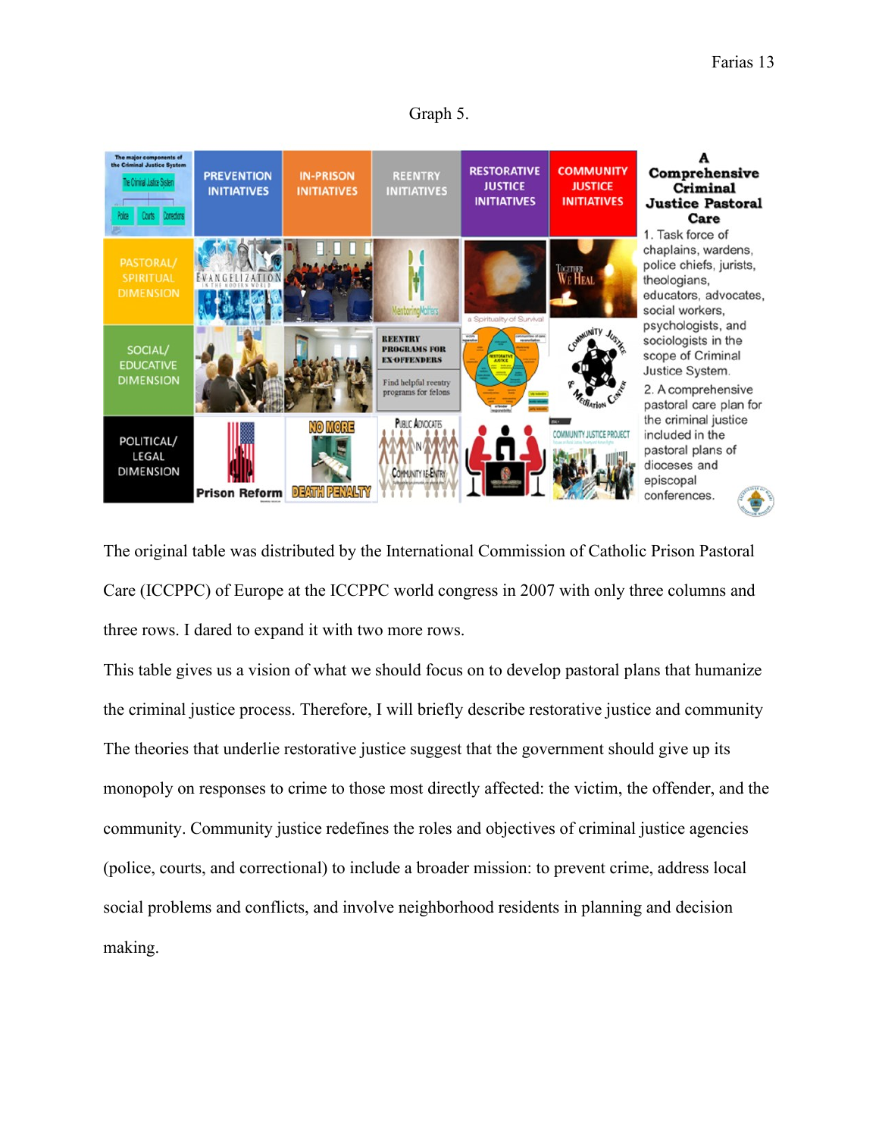



The original table was distributed by the International Commission of Catholic Prison Pastoral Care (ICCPPC) of Europe at the ICCPPC world congress in 2007 with only three columns and three rows. I dared to expand it with two more rows.

This table gives us a vision of what we should focus on to develop pastoral plans that humanize the criminal justice process. Therefore, I will briefly describe restorative justice and community The theories that underlie restorative justice suggest that the government should give up its monopoly on responses to crime to those most directly affected: the victim, the offender, and the community. Community justice redefines the roles and objectives of criminal justice agencies (police, courts, and correctional) to include a broader mission: to prevent crime, address local social problems and conflicts, and involve neighborhood residents in planning and decision making.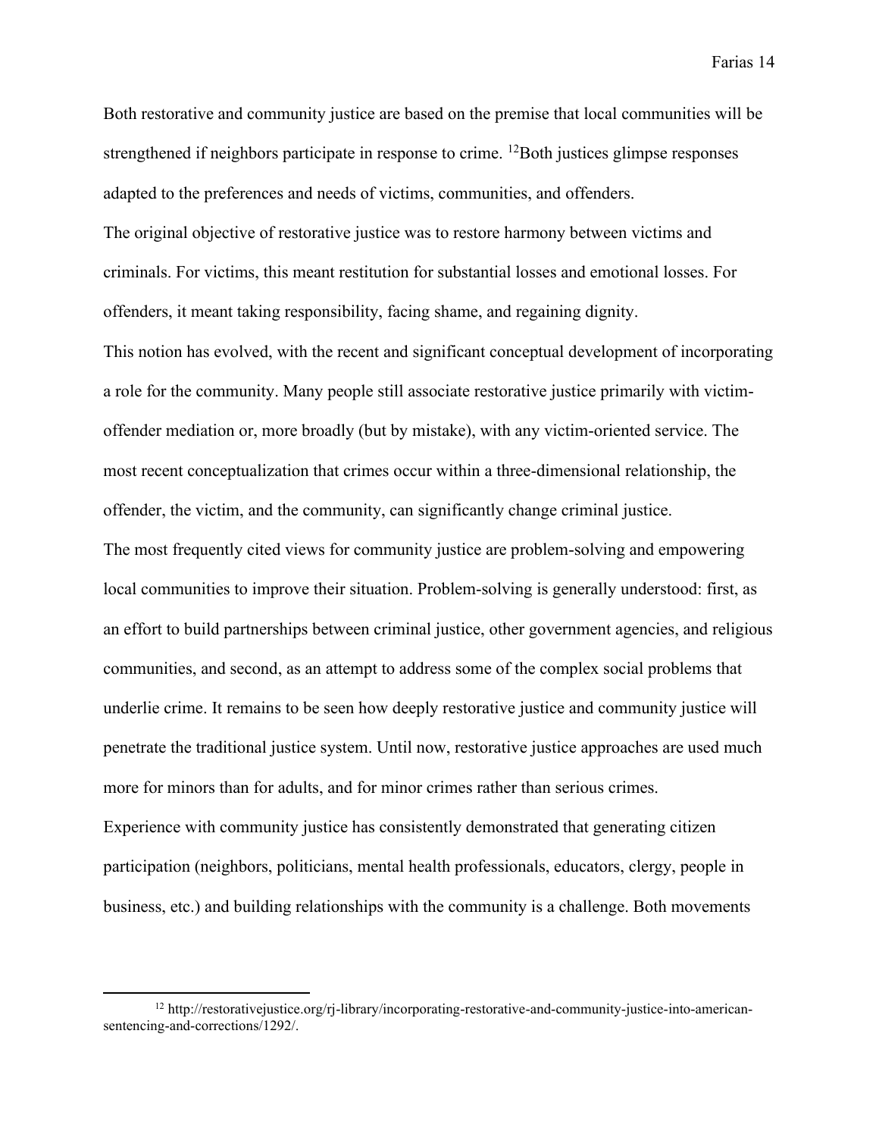Both restorative and community justice are based on the premise that local communities will be strengthened if neighbors participate in response to crime. <sup>12</sup>Both justices glimpse responses adapted to the preferences and needs of victims, communities, and offenders. The original objective of restorative justice was to restore harmony between victims and criminals. For victims, this meant restitution for substantial losses and emotional losses. For offenders, it meant taking responsibility, facing shame, and regaining dignity.

This notion has evolved, with the recent and significant conceptual development of incorporating a role for the community. Many people still associate restorative justice primarily with victimoffender mediation or, more broadly (but by mistake), with any victim-oriented service. The most recent conceptualization that crimes occur within a three-dimensional relationship, the offender, the victim, and the community, can significantly change criminal justice.

The most frequently cited views for community justice are problem-solving and empowering local communities to improve their situation. Problem-solving is generally understood: first, as an effort to build partnerships between criminal justice, other government agencies, and religious communities, and second, as an attempt to address some of the complex social problems that underlie crime. It remains to be seen how deeply restorative justice and community justice will penetrate the traditional justice system. Until now, restorative justice approaches are used much more for minors than for adults, and for minor crimes rather than serious crimes. Experience with community justice has consistently demonstrated that generating citizen participation (neighbors, politicians, mental health professionals, educators, clergy, people in business, etc.) and building relationships with the community is a challenge. Both movements

 $12 \text{ http://restorative justice.org/rj-library/incorporating-restorative-and-commuity-justice-into-amercan-}$ sentencing-and-corrections/1292/.